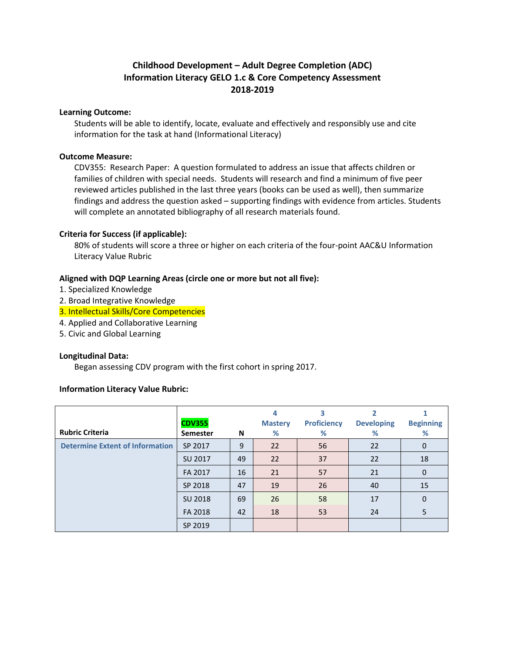# **Childhood Development – Adult Degree Completion (ADC) Information Literacy GELO 1.c & Core Competency Assessment 2018-2019**

#### **Learning Outcome:**

Students will be able to identify, locate, evaluate and effectively and responsibly use and cite information for the task at hand (Informational Literacy)

#### **Outcome Measure:**

CDV355: Research Paper: A question formulated to address an issue that affects children or families of children with special needs. Students will research and find a minimum of five peer reviewed articles published in the last three years (books can be used as well), then summarize findings and address the question asked – supporting findings with evidence from articles. Students will complete an annotated bibliography of all research materials found.

# **Criteria for Success (if applicable):**

80% of students will score a three or higher on each criteria of the four-point AAC&U Information Literacy Value Rubric

# **Aligned with DQP Learning Areas (circle one or more but not all five):**

- 1. Specialized Knowledge
- 2. Broad Integrative Knowledge
- 3. Intellectual Skills/Core Competencies
- 4. Applied and Collaborative Learning
- 5. Civic and Global Learning

#### **Longitudinal Data:**

Began assessing CDV program with the first cohort in spring 2017.

#### **Information Literacy Value Rubric:**

|                                        | <b>CDV355</b>   |    | 4<br><b>Mastery</b> | <b>Proficiency</b> | <b>Developing</b> | <b>Beginning</b> |
|----------------------------------------|-----------------|----|---------------------|--------------------|-------------------|------------------|
| <b>Rubric Criteria</b>                 | <b>Semester</b> | N  | %                   | %                  | %                 | %                |
| <b>Determine Extent of Information</b> | SP 2017         | 9  | 22                  | 56                 | 22                | 0                |
|                                        | SU 2017         | 49 | 22                  | 37                 | 22                | 18               |
|                                        | FA 2017         | 16 | 21                  | 57                 | 21                | 0                |
|                                        | SP 2018         | 47 | 19                  | 26                 | 40                | 15               |
|                                        | SU 2018         | 69 | 26                  | 58                 | 17                | 0                |
|                                        | FA 2018         | 42 | 18                  | 53                 | 24                |                  |
|                                        | SP 2019         |    |                     |                    |                   |                  |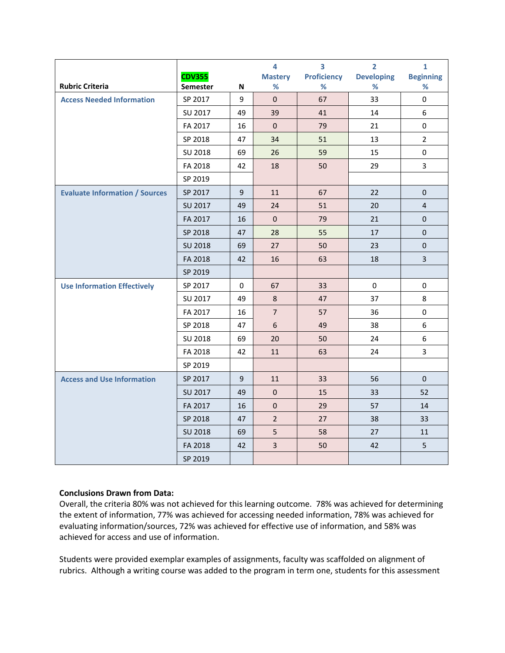|                                       |               |          | 4              | $\overline{\mathbf{3}}$ | $\overline{2}$    | $\mathbf{1}$        |
|---------------------------------------|---------------|----------|----------------|-------------------------|-------------------|---------------------|
|                                       | <b>CDV355</b> |          | <b>Mastery</b> | <b>Proficiency</b>      | <b>Developing</b> | <b>Beginning</b>    |
| <b>Rubric Criteria</b>                | Semester      | N        | %              | %                       | $\%$              | %                   |
| <b>Access Needed Information</b>      | SP 2017       | 9        | $\Omega$       | 67                      | 33                | $\Omega$            |
|                                       | SU 2017       | 49       | 39             | 41                      | 14                | 6                   |
|                                       | FA 2017       | 16       | $\mathbf 0$    | 79                      | 21                | 0                   |
|                                       | SP 2018       | 47       | 34             | 51                      | 13                | $\overline{2}$      |
|                                       | SU 2018       | 69       | 26             | 59                      | 15                | $\mathsf{O}\xspace$ |
|                                       | FA 2018       | 42       | 18             | 50                      | 29                | 3                   |
|                                       | SP 2019       |          |                |                         |                   |                     |
| <b>Evaluate Information / Sources</b> | SP 2017       | 9        | 11             | 67                      | 22                | $\mathbf{0}$        |
|                                       | SU 2017       | 49       | 24             | 51                      | 20                | $\overline{4}$      |
|                                       | FA 2017       | 16       | $\Omega$       | 79                      | 21                | 0                   |
|                                       | SP 2018       | 47       | 28             | 55                      | 17                | $\mathbf 0$         |
|                                       | SU 2018       | 69       | 27             | 50                      | 23                | $\pmb{0}$           |
|                                       | FA 2018       | 42       | 16             | 63                      | 18                | 3                   |
|                                       | SP 2019       |          |                |                         |                   |                     |
| <b>Use Information Effectively</b>    | SP 2017       | $\Omega$ | 67             | 33                      | $\Omega$          | 0                   |
|                                       | SU 2017       | 49       | 8              | 47                      | 37                | 8                   |
|                                       | FA 2017       | 16       | $\overline{7}$ | 57                      | 36                | 0                   |
|                                       | SP 2018       | 47       | 6              | 49                      | 38                | 6                   |
|                                       | SU 2018       | 69       | 20             | 50                      | 24                | 6                   |
|                                       | FA 2018       | 42       | 11             | 63                      | 24                | 3                   |
|                                       | SP 2019       |          |                |                         |                   |                     |
| <b>Access and Use Information</b>     | SP 2017       | 9        | 11             | 33                      | 56                | $\Omega$            |
|                                       | SU 2017       | 49       | $\mathbf 0$    | 15                      | 33                | 52                  |
|                                       | FA 2017       | 16       | $\mathbf{0}$   | 29                      | 57                | 14                  |
|                                       | SP 2018       | 47       | $\overline{2}$ | 27                      | 38                | 33                  |
|                                       | SU 2018       | 69       | 5              | 58                      | 27                | 11                  |
|                                       | FA 2018       | 42       | 3              | 50                      | 42                | 5                   |
|                                       | SP 2019       |          |                |                         |                   |                     |

# **Conclusions Drawn from Data:**

Overall, the criteria 80% was not achieved for this learning outcome. 78% was achieved for determining the extent of information, 77% was achieved for accessing needed information, 78% was achieved for evaluating information/sources, 72% was achieved for effective use of information, and 58% was achieved for access and use of information.

Students were provided exemplar examples of assignments, faculty was scaffolded on alignment of rubrics. Although a writing course was added to the program in term one, students for this assessment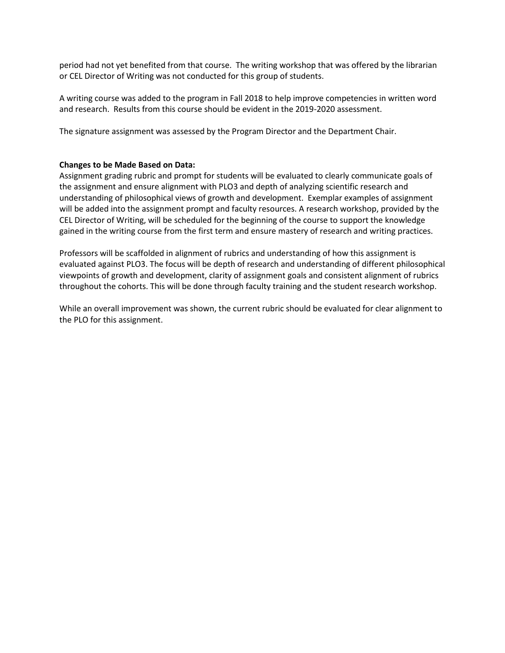period had not yet benefited from that course. The writing workshop that was offered by the librarian or CEL Director of Writing was not conducted for this group of students.

A writing course was added to the program in Fall 2018 to help improve competencies in written word and research. Results from this course should be evident in the 2019-2020 assessment.

The signature assignment was assessed by the Program Director and the Department Chair.

# **Changes to be Made Based on Data:**

Assignment grading rubric and prompt for students will be evaluated to clearly communicate goals of the assignment and ensure alignment with PLO3 and depth of analyzing scientific research and understanding of philosophical views of growth and development. Exemplar examples of assignment will be added into the assignment prompt and faculty resources. A research workshop, provided by the CEL Director of Writing, will be scheduled for the beginning of the course to support the knowledge gained in the writing course from the first term and ensure mastery of research and writing practices.

Professors will be scaffolded in alignment of rubrics and understanding of how this assignment is evaluated against PLO3. The focus will be depth of research and understanding of different philosophical viewpoints of growth and development, clarity of assignment goals and consistent alignment of rubrics throughout the cohorts. This will be done through faculty training and the student research workshop.

While an overall improvement was shown, the current rubric should be evaluated for clear alignment to the PLO for this assignment.